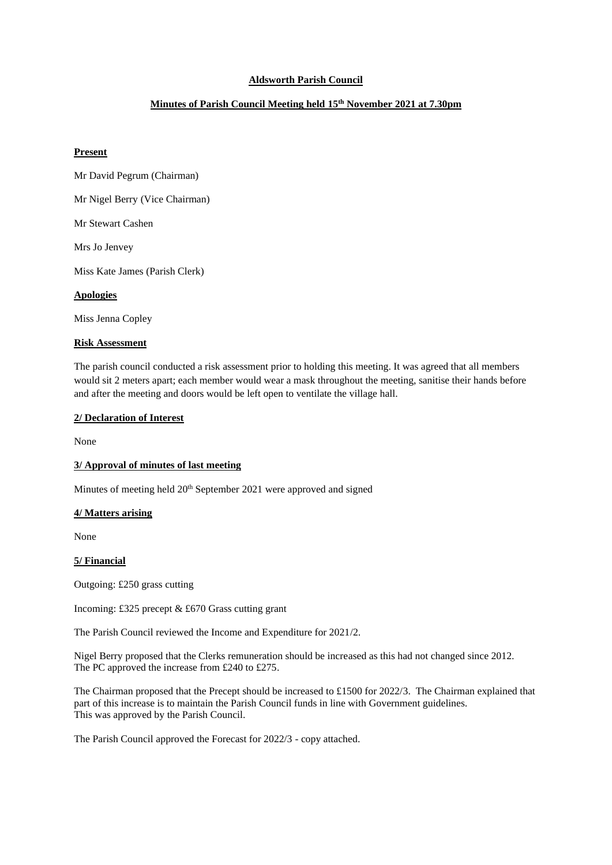# **Aldsworth Parish Council**

# **Minutes of Parish Council Meeting held 15th November 2021 at 7.30pm**

## **Present**

- Mr David Pegrum (Chairman)
- Mr Nigel Berry (Vice Chairman)

Mr Stewart Cashen

Mrs Jo Jenvey

Miss Kate James (Parish Clerk)

## **Apologies**

Miss Jenna Copley

#### **Risk Assessment**

The parish council conducted a risk assessment prior to holding this meeting. It was agreed that all members would sit 2 meters apart; each member would wear a mask throughout the meeting, sanitise their hands before and after the meeting and doors would be left open to ventilate the village hall.

#### **2/ Declaration of Interest**

None

# **3/ Approval of minutes of last meeting**

Minutes of meeting held 20<sup>th</sup> September 2021 were approved and signed

#### **4/ Matters arising**

None

#### **5/ Financial**

Outgoing: £250 grass cutting

Incoming: £325 precept & £670 Grass cutting grant

The Parish Council reviewed the Income and Expenditure for 2021/2.

Nigel Berry proposed that the Clerks remuneration should be increased as this had not changed since 2012. The PC approved the increase from £240 to £275.

The Chairman proposed that the Precept should be increased to £1500 for 2022/3. The Chairman explained that part of this increase is to maintain the Parish Council funds in line with Government guidelines. This was approved by the Parish Council.

The Parish Council approved the Forecast for 2022/3 - copy attached.